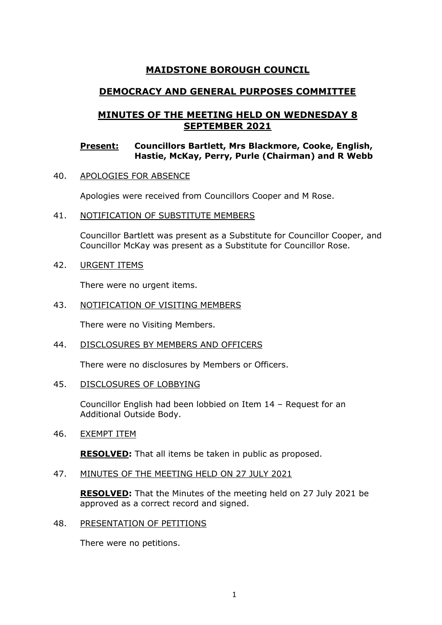# **MAIDSTONE BOROUGH COUNCIL**

# **DEMOCRACY AND GENERAL PURPOSES COMMITTEE**

# **MINUTES OF THE MEETING HELD ON WEDNESDAY 8 SEPTEMBER 2021**

## **Present: Councillors Bartlett, Mrs Blackmore, Cooke, English, Hastie, McKay, Perry, Purle (Chairman) and R Webb**

40. APOLOGIES FOR ABSENCE

Apologies were received from Councillors Cooper and M Rose.

41. NOTIFICATION OF SUBSTITUTE MEMBERS

Councillor Bartlett was present as a Substitute for Councillor Cooper, and Councillor McKay was present as a Substitute for Councillor Rose.

42. URGENT ITEMS

There were no urgent items.

43. NOTIFICATION OF VISITING MEMBERS

There were no Visiting Members.

44. DISCLOSURES BY MEMBERS AND OFFICERS

There were no disclosures by Members or Officers.

45. DISCLOSURES OF LOBBYING

Councillor English had been lobbied on Item 14 – Request for an Additional Outside Body.

46. EXEMPT ITEM

**RESOLVED:** That all items be taken in public as proposed.

47. MINUTES OF THE MEETING HELD ON 27 JULY 2021

**RESOLVED:** That the Minutes of the meeting held on 27 July 2021 be approved as a correct record and signed.

48. PRESENTATION OF PETITIONS

There were no petitions.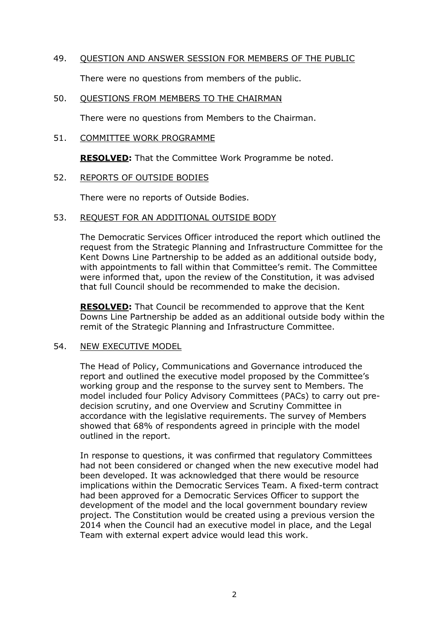### 49. QUESTION AND ANSWER SESSION FOR MEMBERS OF THE PUBLIC

There were no questions from members of the public.

#### 50. QUESTIONS FROM MEMBERS TO THE CHAIRMAN

There were no questions from Members to the Chairman.

### 51. COMMITTEE WORK PROGRAMME

**RESOLVED:** That the Committee Work Programme be noted.

## 52. REPORTS OF OUTSIDE BODIES

There were no reports of Outside Bodies.

## 53. REQUEST FOR AN ADDITIONAL OUTSIDE BODY

The Democratic Services Officer introduced the report which outlined the request from the Strategic Planning and Infrastructure Committee for the Kent Downs Line Partnership to be added as an additional outside body, with appointments to fall within that Committee's remit. The Committee were informed that, upon the review of the Constitution, it was advised that full Council should be recommended to make the decision.

**RESOLVED:** That Council be recommended to approve that the Kent Downs Line Partnership be added as an additional outside body within the remit of the Strategic Planning and Infrastructure Committee.

#### 54. NEW EXECUTIVE MODEL

The Head of Policy, Communications and Governance introduced the report and outlined the executive model proposed by the Committee's working group and the response to the survey sent to Members. The model included four Policy Advisory Committees (PACs) to carry out predecision scrutiny, and one Overview and Scrutiny Committee in accordance with the legislative requirements. The survey of Members showed that 68% of respondents agreed in principle with the model outlined in the report.

In response to questions, it was confirmed that regulatory Committees had not been considered or changed when the new executive model had been developed. It was acknowledged that there would be resource implications within the Democratic Services Team. A fixed-term contract had been approved for a Democratic Services Officer to support the development of the model and the local government boundary review project. The Constitution would be created using a previous version the 2014 when the Council had an executive model in place, and the Legal Team with external expert advice would lead this work.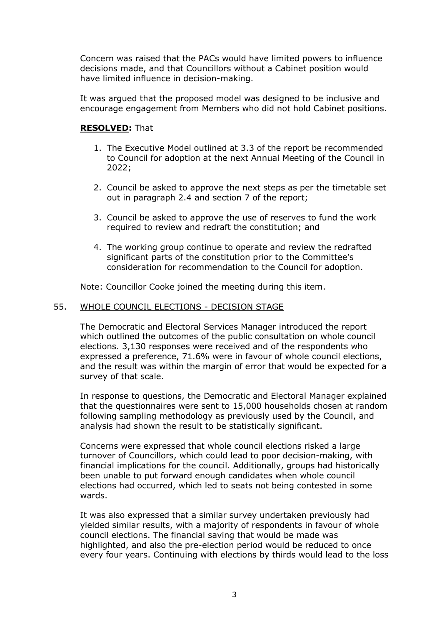Concern was raised that the PACs would have limited powers to influence decisions made, and that Councillors without a Cabinet position would have limited influence in decision-making.

It was argued that the proposed model was designed to be inclusive and encourage engagement from Members who did not hold Cabinet positions.

## **RESOLVED:** That

- 1. The Executive Model outlined at 3.3 of the report be recommended to Council for adoption at the next Annual Meeting of the Council in 2022;
- 2. Council be asked to approve the next steps as per the timetable set out in paragraph 2.4 and section 7 of the report;
- 3. Council be asked to approve the use of reserves to fund the work required to review and redraft the constitution; and
- 4. The working group continue to operate and review the redrafted significant parts of the constitution prior to the Committee's consideration for recommendation to the Council for adoption.

Note: Councillor Cooke joined the meeting during this item.

## 55. WHOLE COUNCIL ELECTIONS - DECISION STAGE

The Democratic and Electoral Services Manager introduced the report which outlined the outcomes of the public consultation on whole council elections. 3,130 responses were received and of the respondents who expressed a preference, 71.6% were in favour of whole council elections, and the result was within the margin of error that would be expected for a survey of that scale.

In response to questions, the Democratic and Electoral Manager explained that the questionnaires were sent to 15,000 households chosen at random following sampling methodology as previously used by the Council, and analysis had shown the result to be statistically significant.

Concerns were expressed that whole council elections risked a large turnover of Councillors, which could lead to poor decision-making, with financial implications for the council. Additionally, groups had historically been unable to put forward enough candidates when whole council elections had occurred, which led to seats not being contested in some wards.

It was also expressed that a similar survey undertaken previously had yielded similar results, with a majority of respondents in favour of whole council elections. The financial saving that would be made was highlighted, and also the pre-election period would be reduced to once every four years. Continuing with elections by thirds would lead to the loss